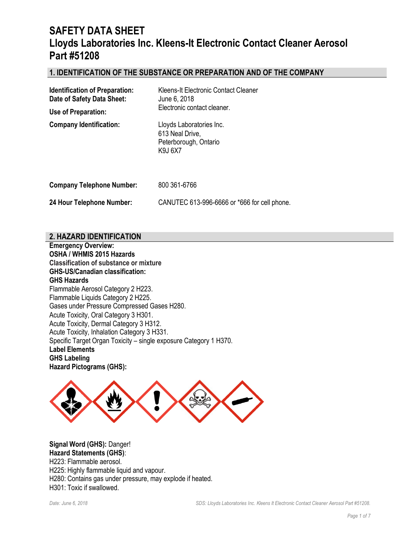## **1. IDENTIFICATION OF THE SUBSTANCE OR PREPARATION AND OF THE COMPANY**

| <b>Identification of Preparation:</b><br>Date of Safety Data Sheet:<br>Use of Preparation: | Kleens-It Electronic Contact Cleaner<br>June 6, 2018<br>Electronic contact cleaner.   |
|--------------------------------------------------------------------------------------------|---------------------------------------------------------------------------------------|
| <b>Company Identification:</b>                                                             | Lloyds Laboratories Inc.<br>613 Neal Drive,<br>Peterborough, Ontario<br><b>K9J6X7</b> |
| <b>Company Telephone Number:</b>                                                           | 800 361-6766                                                                          |
| 24 Hour Telephone Number:                                                                  | CANUTEC 613-996-6666 or *666 for cell phone.                                          |

### **2. HAZARD IDENTIFICATION**

**Emergency Overview: OSHA / WHMIS 2015 Hazards Classification of substance or mixture GHS-US/Canadian classification: GHS Hazards**  Flammable Aerosol Category 2 H223. Flammable Liquids Category 2 H225. Gases under Pressure Compressed Gases H280. Acute Toxicity, Oral Category 3 H301. Acute Toxicity, Dermal Category 3 H312. Acute Toxicity, Inhalation Category 3 H331. Specific Target Organ Toxicity – single exposure Category 1 H370. **Label Elements GHS Labeling Hazard Pictograms (GHS):**



**Signal Word (GHS):** Danger! **Hazard Statements (GHS)**: H223: Flammable aerosol. H225: Highly flammable liquid and vapour. H280: Contains gas under pressure, may explode if heated. H301: Toxic if swallowed.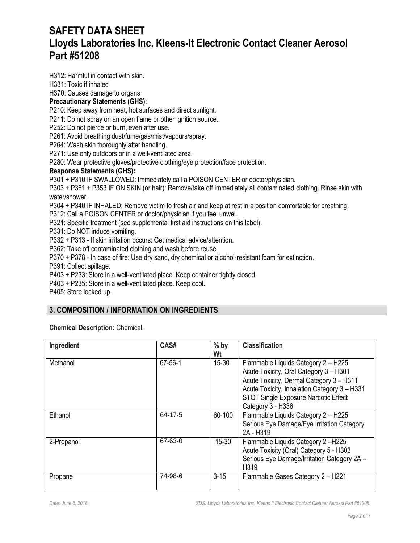H312: Harmful in contact with skin.

#### H331: Toxic if inhaled

H370: Causes damage to organs

## **Precautionary Statements (GHS)**:

P210: Keep away from heat, hot surfaces and direct sunlight.

P211: Do not spray on an open flame or other ignition source.

P252: Do not pierce or burn, even after use.

P261: Avoid breathing dust/fume/gas/mist/vapours/spray.

P264: Wash skin thoroughly after handling.

P271: Use only outdoors or in a well-ventilated area.

P280: Wear protective gloves/protective clothing/eye protection/face protection.

#### **Response Statements (GHS):**

P301 + P310 IF SWALLOWED: Immediately call a POISON CENTER or doctor/physician.

P303 + P361 + P353 IF ON SKIN (or hair): Remove/take off immediately all contaminated clothing. Rinse skin with water/shower.

P304 + P340 IF INHALED: Remove victim to fresh air and keep at rest in a position comfortable for breathing.

P312: Call a POISON CENTER or doctor/physician if you feel unwell.

P321: Specific treatment (see supplemental first aid instructions on this label).

P331: Do NOT induce vomiting.

P332 + P313 - If skin irritation occurs: Get medical advice/attention.

P362: Take off contaminated clothing and wash before reuse.

P370 + P378 - In case of fire: Use dry sand, dry chemical or alcohol-resistant foam for extinction.

P391: Collect spillage.

P403 + P233: Store in a well-ventilated place. Keep container tightly closed.

P403 + P235: Store in a well-ventilated place. Keep cool.

P405: Store locked up.

## **3. COMPOSITION / INFORMATION ON INGREDIENTS**

**Chemical Description:** Chemical.

| Ingredient | CAS#          | $%$ by<br>Wt | <b>Classification</b>                                                                                                                                                                                                                         |
|------------|---------------|--------------|-----------------------------------------------------------------------------------------------------------------------------------------------------------------------------------------------------------------------------------------------|
| Methanol   | $67 - 56 - 1$ | $15 - 30$    | Flammable Liquids Category 2 - H225<br>Acute Toxicity, Oral Category 3 - H301<br>Acute Toxicity, Dermal Category 3 - H311<br>Acute Toxicity, Inhalation Category 3 - H331<br><b>STOT Single Exposure Narcotic Effect</b><br>Category 3 - H336 |
| Ethanol    | 64-17-5       | 60-100       | Flammable Liquids Category 2 - H225<br>Serious Eye Damage/Eye Irritation Category<br>2A - H319                                                                                                                                                |
| 2-Propanol | 67-63-0       | $15 - 30$    | Flammable Liquids Category 2-H225<br>Acute Toxicity (Oral) Category 5 - H303<br>Serious Eye Damage/Irritation Category 2A -<br>H319                                                                                                           |
| Propane    | 74-98-6       | $3 - 15$     | Flammable Gases Category 2 - H221                                                                                                                                                                                                             |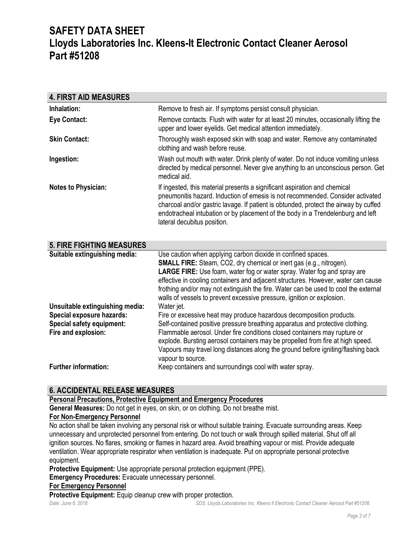| <b>4. FIRST AID MEASURES</b>                                                                                                   |                                                                                                                                                                                                                                                                                                                                                                                                                                                                             |
|--------------------------------------------------------------------------------------------------------------------------------|-----------------------------------------------------------------------------------------------------------------------------------------------------------------------------------------------------------------------------------------------------------------------------------------------------------------------------------------------------------------------------------------------------------------------------------------------------------------------------|
| Inhalation:                                                                                                                    | Remove to fresh air. If symptoms persist consult physician.                                                                                                                                                                                                                                                                                                                                                                                                                 |
| <b>Eye Contact:</b>                                                                                                            | Remove contacts. Flush with water for at least 20 minutes, occasionally lifting the<br>upper and lower eyelids. Get medical attention immediately.                                                                                                                                                                                                                                                                                                                          |
| <b>Skin Contact:</b>                                                                                                           | Thoroughly wash exposed skin with soap and water. Remove any contaminated<br>clothing and wash before reuse.                                                                                                                                                                                                                                                                                                                                                                |
| Ingestion:                                                                                                                     | Wash out mouth with water. Drink plenty of water. Do not induce vomiting unless<br>directed by medical personnel. Never give anything to an unconscious person. Get<br>medical aid.                                                                                                                                                                                                                                                                                         |
| <b>Notes to Physician:</b>                                                                                                     | If ingested, this material presents a significant aspiration and chemical<br>pneumonitis hazard. Induction of emesis is not recommended. Consider activated<br>charcoal and/or gastric lavage. If patient is obtunded, protect the airway by cuffed<br>endotracheal intubation or by placement of the body in a Trendelenburg and left<br>lateral decubitus position.                                                                                                       |
| <b>5. FIRE FIGHTING MEASURES</b>                                                                                               |                                                                                                                                                                                                                                                                                                                                                                                                                                                                             |
| Suitable extinguishing media:                                                                                                  | Use caution when applying carbon dioxide in confined spaces.<br>SMALL FIRE: Steam, CO2, dry chemical or inert gas (e.g., nitrogen).<br><b>LARGE FIRE:</b> Use foam, water fog or water spray. Water fog and spray are<br>effective in cooling containers and adjacent structures. However, water can cause<br>frothing and/or may not extinguish the fire. Water can be used to cool the external<br>walls of vessels to prevent excessive pressure, ignition or explosion. |
| Unsuitable extinguishing media:<br><b>Special exposure hazards:</b><br><b>Special safety equipment:</b><br>Fire and explosion: | Water jet.<br>Fire or excessive heat may produce hazardous decomposition products.<br>Self-contained positive pressure breathing apparatus and protective clothing.<br>Flammable aerosol. Under fire conditions closed containers may rupture or<br>explode. Bursting aerosol containers may be propelled from fire at high speed.<br>Vapours may travel long distances along the ground before igniting/flashing back<br>vapour to source.                                 |
| <b>Further information:</b>                                                                                                    | Keep containers and surroundings cool with water spray.                                                                                                                                                                                                                                                                                                                                                                                                                     |

## **6. ACCIDENTAL RELEASE MEASURES**

## **Personal Precautions, Protective Equipment and Emergency Procedures**

**General Measures:** Do not get in eyes, on skin, or on clothing. Do not breathe mist.

### **For Non-Emergency Personnel**

No action shall be taken involving any personal risk or without suitable training. Evacuate surrounding areas. Keep unnecessary and unprotected personnel from entering. Do not touch or walk through spilled material. Shut off all ignition sources. No flares, smoking or flames in hazard area. Avoid breathing vapour or mist. Provide adequate ventilation. Wear appropriate respirator when ventilation is inadequate. Put on appropriate personal protective equipment.

**Protective Equipment:** Use appropriate personal protection equipment (PPE).

**Emergency Procedures:** Evacuate unnecessary personnel.

#### **For Emergency Personnel**

**Protective Equipment:** Equip cleanup crew with proper protection.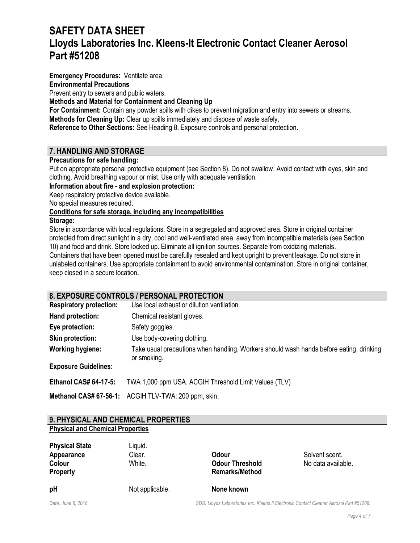**Emergency Procedures:** Ventilate area.

### **Environmental Precautions**

Prevent entry to sewers and public waters.

### **Methods and Material for Containment and Cleaning Up**

**For Containment:** Contain any powder spills with dikes to prevent migration and entry into sewers or streams. **Methods for Cleaning Up:** Clear up spills immediately and dispose of waste safely.

**Reference to Other Sections:** See Heading 8. Exposure controls and personal protection.

## **7. HANDLING AND STORAGE**

## **Precautions for safe handling:**

Put on appropriate personal protective equipment (see Section 8). Do not swallow. Avoid contact with eyes, skin and clothing. Avoid breathing vapour or mist. Use only with adequate ventilation.

**Information about fire - and explosion protection:**

Keep respiratory protective device available.

No special measures required.

## **Conditions for safe storage, including any incompatibilities**

#### **Storage:**

Store in accordance with local regulations. Store in a segregated and approved area. Store in original container protected from direct sunlight in a dry, cool and well-ventilated area, away from incompatible materials (see Section 10) and food and drink. Store locked up. Eliminate all ignition sources. Separate from oxidizing materials. Containers that have been opened must be carefully resealed and kept upright to prevent leakage. Do not store in unlabeled containers. Use appropriate containment to avoid environmental contamination. Store in original container, keep closed in a secure location.

## **8. EXPOSURE CONTROLS / PERSONAL PROTECTION**

| <b>Respiratory protection:</b> | Use local exhaust or dilution ventilation.                                                             |
|--------------------------------|--------------------------------------------------------------------------------------------------------|
| Hand protection:               | Chemical resistant gloves.                                                                             |
| Eye protection:                | Safety goggles.                                                                                        |
| <b>Skin protection:</b>        | Use body-covering clothing.                                                                            |
| <b>Working hygiene:</b>        | Take usual precautions when handling. Workers should wash hands before eating, drinking<br>or smoking. |
| <b>Exposure Guidelines:</b>    |                                                                                                        |
| <b>Ethanol CAS# 64-17-5:</b>   | TWA 1,000 ppm USA. ACGIH Threshold Limit Values (TLV)                                                  |
|                                | Methanol CAS# 67-56-1: ACGIH TLV-TWA: 200 ppm, skin.                                                   |

### **9. PHYSICAL AND CHEMICAL PROPERTIES Physical and Chemical Properties**

| рH                    | Not applicable. | None known             |                    |
|-----------------------|-----------------|------------------------|--------------------|
| Property              |                 | <b>Remarks/Method</b>  |                    |
| Colour                | White.          | <b>Odour Threshold</b> | No data available. |
| Appearance            | Clear.          | Odour                  | Solvent scent.     |
| <b>Physical State</b> | Liquid.         |                        |                    |

*Date: June 6, 2018 SDS: Lloyds Laboratories Inc. Kleens It Electronic Contact Cleaner Aerosol Part #51208.*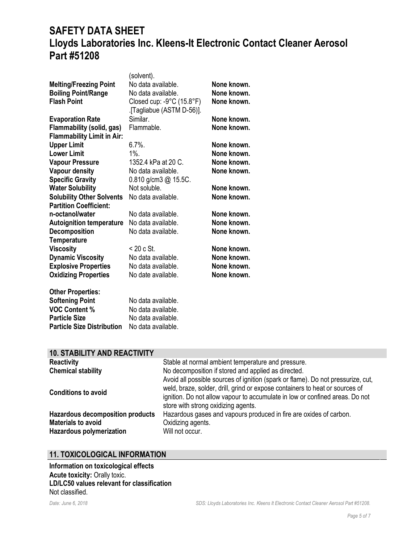|                                   | (solvent).                                     |             |
|-----------------------------------|------------------------------------------------|-------------|
| <b>Melting/Freezing Point</b>     | No data available.                             | None known. |
| <b>Boiling Point/Range</b>        | No data available.                             | None known. |
| <b>Flash Point</b>                | Closed cup: $-9^{\circ}$ C (15.8 $^{\circ}$ F) | None known. |
|                                   | .[Tagliabue (ASTM D-56)].                      |             |
| <b>Evaporation Rate</b>           | Similar.                                       | None known. |
| <b>Flammability (solid, gas)</b>  | Flammable.                                     | None known. |
| <b>Flammability Limit in Air:</b> |                                                |             |
| <b>Upper Limit</b>                | $6.7\%$ .                                      | None known. |
| <b>Lower Limit</b>                | $1\%$ .                                        | None known. |
| <b>Vapour Pressure</b>            | 1352.4 kPa at 20 C.                            | None known. |
| <b>Vapour density</b>             | No data available.                             | None known. |
|                                   |                                                |             |
| <b>Specific Gravity</b>           | 0.810 g/cm3 @ 15.5C.<br>Not soluble.           |             |
| <b>Water Solubility</b>           |                                                | None known. |
| <b>Solubility Other Solvents</b>  | No data available.                             | None known. |
| <b>Partition Coefficient:</b>     |                                                |             |
| n-octanol/water                   | No data available.                             | None known. |
| <b>Autoignition temperature</b>   | No data available.                             | None known. |
| <b>Decomposition</b>              | No data available.                             | None known. |
| <b>Temperature</b>                |                                                |             |
| <b>Viscosity</b>                  | $<$ 20 c St.                                   | None known. |
| <b>Dynamic Viscosity</b>          | No data available.                             | None known. |
| <b>Explosive Properties</b>       | No data available.                             | None known. |
| <b>Oxidizing Properties</b>       | No date available.                             | None known. |
| <b>Other Properties:</b>          |                                                |             |
| <b>Softening Point</b>            | No data available.                             |             |
| <b>VOC Content %</b>              | No data available.                             |             |
| <b>Particle Size</b>              | No data available.                             |             |

## **10. STABILITY AND REACTIVITY**

**Particle Size Distribution** No data available.

| <b>Reactivity</b><br><b>Chemical stability</b><br><b>Conditions to avoid</b>                     | Stable at normal ambient temperature and pressure.<br>No decomposition if stored and applied as directed.<br>Avoid all possible sources of ignition (spark or flame). Do not pressurize, cut,<br>weld, braze, solder, drill, grind or expose containers to heat or sources of<br>ignition. Do not allow vapour to accumulate in low or confined areas. Do not |
|--------------------------------------------------------------------------------------------------|---------------------------------------------------------------------------------------------------------------------------------------------------------------------------------------------------------------------------------------------------------------------------------------------------------------------------------------------------------------|
| <b>Hazardous decomposition products</b><br><b>Materials to avoid</b><br>Hazardous polymerization | store with strong oxidizing agents.<br>Hazardous gases and vapours produced in fire are oxides of carbon.<br>Oxidizing agents.<br>Will not occur.                                                                                                                                                                                                             |

## **11. TOXICOLOGICAL INFORMATION**

**Information on toxicological effects Acute toxicity:** Orally toxic. **LD/LC50 values relevant for classification** Not classified.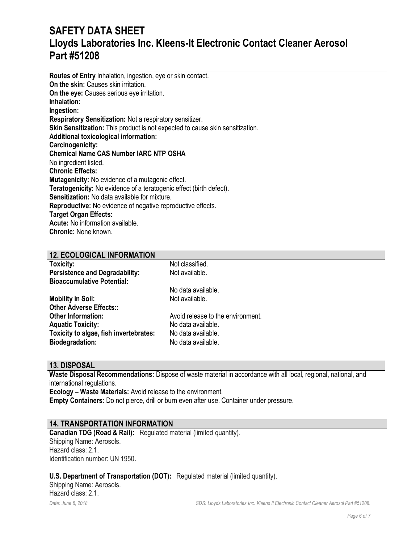**Routes of Entry** Inhalation, ingestion, eye or skin contact. **On the skin: Causes skin irritation. On the eye:** Causes serious eye irritation. **Inhalation: Ingestion: Respiratory Sensitization:** Not a respiratory sensitizer. **Skin Sensitization:** This product is not expected to cause skin sensitization. **Additional toxicological information: Carcinogenicity: Chemical Name CAS Number IARC NTP OSHA** No ingredient listed. **Chronic Effects: Mutagenicity:** No evidence of a mutagenic effect. **Teratogenicity:** No evidence of a teratogenic effect (birth defect). **Sensitization:** No data available for mixture. **Reproductive:** No evidence of negative reproductive effects. **Target Organ Effects: Acute:** No information available. **Chronic:** None known.

#### **12. ECOLOGICAL INFORMATION**

| Toxicity:                              | Not classified.                   |
|----------------------------------------|-----------------------------------|
| <b>Persistence and Degradability:</b>  | Not available.                    |
| <b>Bioaccumulative Potential:</b>      |                                   |
|                                        | No data available.                |
| <b>Mobility in Soil:</b>               | Not available.                    |
| <b>Other Adverse Effects::</b>         |                                   |
| <b>Other Information:</b>              | Avoid release to the environment. |
| <b>Aquatic Toxicity:</b>               | No data available.                |
| Toxicity to algae, fish invertebrates: | No data available.                |
| <b>Biodegradation:</b>                 | No data available.                |

### **13. DISPOSAL**

**Waste Disposal Recommendations:** Dispose of waste material in accordance with all local, regional, national, and international regulations.

**Ecology – Waste Materials:** Avoid release to the environment.

**Empty Containers:** Do not pierce, drill or burn even after use. Container under pressure.

#### **14. TRANSPORTATION INFORMATION**

**Canadian TDG (Road & Rail):** Regulated material (limited quantity). Shipping Name: Aerosols. Hazard class: 2.1. Identification number: UN 1950.

#### **U.S. Department of Transportation (DOT):** Regulated material (limited quantity).

Shipping Name: Aerosols. Hazard class: 2.1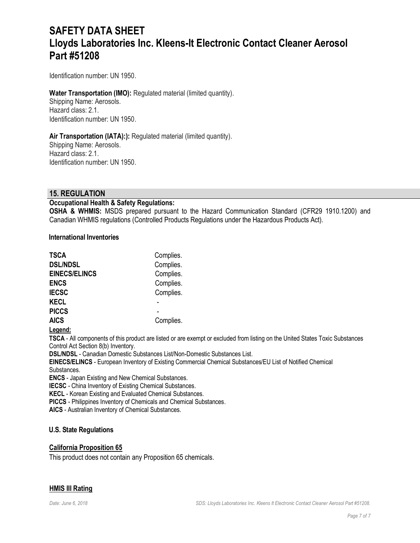Identification number: UN 1950.

## **Water Transportation (IMO):** Regulated material (limited quantity). Shipping Name: Aerosols.

Hazard class: 2.1. Identification number: UN 1950.

### Air Transportation (IATA):): Regulated material (limited quantity).

Shipping Name: Aerosols. Hazard class: 2.1. Identification number: UN 1950.

### **15. REGULATION**

#### **Occupational Health & Safety Regulations:**

**OSHA & WHMIS:** MSDS prepared pursuant to the Hazard Communication Standard (CFR29 1910.1200) and Canadian WHMIS regulations (Controlled Products Regulations under the Hazardous Products Act).

#### **International Inventories**

| <b>TSCA</b>          | Complies. |
|----------------------|-----------|
| <b>DSL/NDSL</b>      | Complies. |
| <b>EINECS/ELINCS</b> | Complies. |
| <b>ENCS</b>          | Complies. |
| <b>IECSC</b>         | Complies. |
| <b>KECL</b>          |           |
| <b>PICCS</b>         |           |
| <b>AICS</b>          | Complies. |

#### **Legend:**

**TSCA** - All components of this product are listed or are exempt or excluded from listing on the United States Toxic Substances Control Act Section 8(b) Inventory.

**DSL/NDSL** - Canadian Domestic Substances List/Non-Domestic Substances List.

**EINECS/ELINCS** - European Inventory of Existing Commercial Chemical Substances/EU List of Notified Chemical Substances.

**ENCS** - Japan Existing and New Chemical Substances.

**IECSC** - China Inventory of Existing Chemical Substances.

**KECL** - Korean Existing and Evaluated Chemical Substances.

**PICCS** - Philippines Inventory of Chemicals and Chemical Substances.

**AICS** - Australian Inventory of Chemical Substances.

### **U.S. State Regulations**

#### **California Proposition 65**

This product does not contain any Proposition 65 chemicals.

#### **HMIS III Rating**